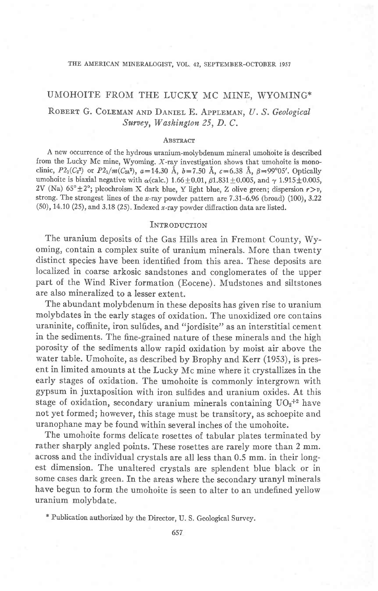#### THE AMERICAN MINERALOGIST, VOL. 42, SEPTEMBER-OCTOBER 1957

# UMOHOITE FROM THE LUCKY MC MINE, WYOMING\* ROBERT G. COLEMAN AND DANIEL E. APPLEMAN, U. S. Geological

Survey, Washington 25, D.C.

### **ABSTRACT**

A new occurrence of the hydrous uranium-molybdenum mineral umohoite is described from the Lucky Mc mine, Wyoming. X-ray investigation shows that umohoite is monoclinic,  $P2_1(C_2^2)$  or  $P2_1/m(C_{2h}^2)$ ,  $a=14.30$  Å,  $b=7.50$  Å,  $c=6.38$  Å,  $\beta=99^{\circ}05'$ . Optically umohoite is biaxial negative with  $\alpha$ (calc.) 1.66  $\pm$  0.01,  $\beta$ 1.831  $\pm$  0.005, and  $\gamma$  1.915  $\pm$  0.005, 2V (Na)  $65^{\circ} \pm 2^{\circ}$ ; pleochroism X dark blue, Y light blue, Z olive green; dispersion  $r > v$ , strong. The strongest lines of the x-ray powder pattern are  $7.31-6.96$  (broad) (100),  $3.22$ (50), 14.10 (25), and 3.18 (25). Indexed x-ray powder diffraction data are listed.

#### **INTRODUCTION**

The uranium deposits of the Gas Hills area in Fremont County, Wyoming, contain a complex suite of uranium minerals. More than twenty distinct species have been identified from this area. These deposits are localized in coarse arkosic sandstones and conglomerates of the upper part of the Wind River formation (Eocene). Mudstones and siltstones are also mineralized to a lesser extent.

The abundant molybdenum in these deposits has given rise to uranium molybdates in the early stages of oxidation. The unoxidized ore contains uraninite, coffinite, iron sulfides, and "jordisite" as an interstitial cement in the sediments. The fine-grained nature of these minerals and the high porosity of the sediments allow rapid oxidation by moist air above the water table. Umohoite, as described by Brophy and Kerr (1953), is present in limited amounts at the Lucky Mc mine where it crystallizes in the early stages of oxidation. The umohoite is commonly intergrown with gypsum in juxtaposition with iron sulfides and uranium oxides. At this stage of oxidation, secondary uranium minerals containing  $UO<sub>2</sub> + 2$  have not yet formed; however, this stage must be transitory, as schoepite and uranophane may be found within several inches of the umohoite.

The umohoite forms delicate rosettes of tabular plates terminated by rather sharply angled points. These rosettes are rarely more than 2 mm. across and the individual crystals are all less than 0.5 mm. in their longest dimension. The unaltered crystals are splendent blue black or in some cases dark green. In the areas where the secondary uranyl minerals have begun to form the umohoite is seen to alter to an undefined yellow uranium molybdate.

x Publication authorized by the Director, U. S. Geological Survey.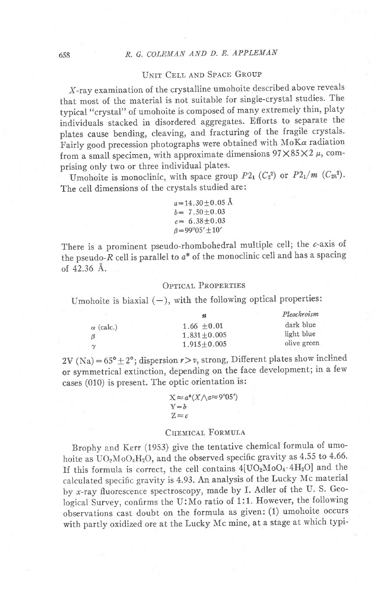## UNIT CELL AND SPACE GROUP

X-ray examination of the crystalline umohoite described above reveals that most of the material is not suitable for single-crystal studies. The typical "crystal" of umohoite is composed of many extremely thin, platy individuals stacked in disordered aggregates. Efforts to separate the plates cause bending, cleaving, and fracturing of the fragile crystals. Fairly good precession photographs were obtained with  $M\alpha$  radiation from a small specimen, with approximate dimensions  $97 \times 85 \times 2 \mu$ , comprising only two or three individual plates. -

Umohoite is monoclinic, with space group  $P2_1$  ( $C_2^2$ ) or  $P2_1/m$  ( $C_{2h}^2$ ). The cell dimensions of the crystals studied are:

> $a=14.30\pm0.05$  Å  $b = 7.50 \pm 0.03$  $c=6.38\pm0.03$  $\beta = 99^{\circ}05' \pm 10'$

There is a prominent pseudo-rhombohedral multiple cell; the c-axis of the pseudo-R cell is parallel to  $a^*$  of the monoclinic cell and has a spacing ot 42.36 A.

### OPTICAL PROPERTIES

Umohoite is biaxial  $(-)$ , with the following optical properties:

|                  | n                 | Pleochroism |
|------------------|-------------------|-------------|
| $\alpha$ (calc.) | $1.66 + 0.01$     | dark blue   |
| $\beta$          | $1.831 + 0.005$   | light blue  |
| $\gamma$         | $1.915 \pm 0.005$ | olive green |

2V (Na) =  $65^{\circ} \pm 2^{\circ}$ ; dispersion  $r > v$ , strong, Different plates show inclined or symmetrical extinction, depending on the face development; in a few cases (010) is present. The optic orientation is:

$$
X \approx a^*(X \wedge a \approx 9^{\circ}05')
$$
  
Y = b  
Z \approx c

### CHEMICAL FORMULA

Brophy and Kerr (1953) give the tentative chemical formula of umohoite as  $UO_2MoO_4H_2O$ , and the observed specific gravity as 4.55 to 4.66. If this formula is correct, the cell contains  $4[UO_2MoO_4 \cdot 4H_2O]$  and the calculated specific gravity is 4.93. An analysis of the Lucky Mc material by x-ray fluorescence spectroscopy, made by I. Adler of the U.S. Geological Survey, confirms the U:Mo ratio of 1:1. However, the following observations cast doubt on the formula as given: (1) umohoite occurs with partly oxidized ore at the Lucky Mc mine, at a stage at which typi-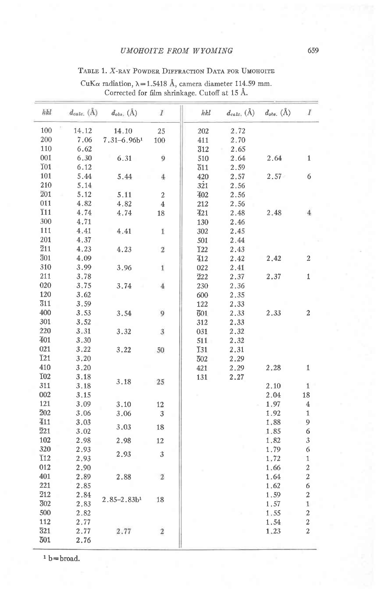### **UMOHOITE FROM WYOMING**

### TABLE 1. X-RAY POWDER DIFFRACTION DATA FOR UMOHOITE

| hkl              |       | $d_{calc.}(\text{Å})$ $d_{obs.}(\text{Å})$ | $\overline{I}$          | hkl              | $d_{calc.}(\text{\AA})$ | $d_{obs.}(\AA)$ | $\overline{I}$   |
|------------------|-------|--------------------------------------------|-------------------------|------------------|-------------------------|-----------------|------------------|
| 100              | 14.12 | 14.10                                      | 25                      | 202              | 2.72                    |                 |                  |
| 200              | 7.06  | $7.31 - 6.96b1$                            | 100                     | 411              | 2.70                    |                 |                  |
| 110              | 6.62  |                                            |                         | $\overline{3}12$ | 2.65                    |                 |                  |
| 001              | 6.30  | 6.31                                       | 9                       | 510              | 2.64                    | 2.64            | $\mathbf{1}$     |
| <b>101</b>       | 6.12  |                                            |                         | 511              | 2.59                    |                 |                  |
| 101              | 5.44  | 5.44                                       | 4                       | 420              | 2.57                    | 2.57            | 6                |
| 210              | 5.14  |                                            |                         | 321              | 2.56                    |                 |                  |
| 201              | 5.12  | 5.11                                       | $\overline{2}$          | 402              | 2.56                    |                 |                  |
| 011              | 4.82  | 4.82                                       | $\overline{4}$          | 212              | 2.56                    |                 |                  |
| $\overline{1}11$ | 4.74  | 4.74                                       | 18                      | 421              | 2.48                    | 2.48            | $\overline{4}$   |
| 300              | 4.71  |                                            |                         | 130              | 2.46                    |                 |                  |
| 111              | 4.41  | 4.41                                       | $\mathbf{1}$            | 302              | 2.45                    |                 |                  |
| 201              | 4.37  |                                            |                         | 501              | 2.44                    |                 |                  |
| $\overline{2}11$ | 4.23  | 4.23                                       | $\overline{2}$          | I22              | 2.43                    |                 |                  |
| $\overline{3}01$ | 4.09  |                                            |                         | 412              | 2.42                    | 2.42            | $\overline{2}$   |
| 310              | 3.99  | 3.96                                       | $\bf 1$                 | 022              | 2.41                    |                 |                  |
| 211              | 3.78  |                                            |                         | 222              | 2.37                    | 2.37            | $\mathbf 1$      |
| 020              | 3.75  | 3.74                                       | $\overline{4}$          | 230              | 2.36                    |                 |                  |
| 120              | 3.62  |                                            |                         | 600              | 2.35                    |                 |                  |
| $\overline{3}11$ | 3.59  |                                            |                         | 122              | 2.33                    |                 |                  |
| 400              | 3.53  | 3.54                                       | 9                       | 601              | 2.33                    | 2.33            | $\,2$            |
| 301              | 3.52  |                                            |                         | 312              | 2.33                    |                 |                  |
| 220              | 3.31  | 3.32                                       | $\overline{\mathbf{3}}$ | 031              | 2.32                    |                 |                  |
| 401              | 3.30  |                                            |                         | 511              | 2.32                    |                 |                  |
| 021              | 3.22  | 3.22                                       | 50                      | T31              | 2,31                    |                 |                  |
| <b>T21</b>       | 3.20  |                                            |                         | 502              | 2.29                    |                 |                  |
| 410              | 3.20  |                                            |                         | 421              | 2.29                    | 2.28            | $\mathbf 1$      |
| T <sub>02</sub>  | 3.18  |                                            |                         | 131              | 2.27                    |                 |                  |
| 311              | 3.18  | 3.18                                       | 25                      |                  |                         | 2.10            | $\mathbf{1}$     |
| 002              | 3.15  |                                            |                         |                  |                         | 2.04            | 18               |
| 121              | 3.09  | 3.10                                       | 12                      |                  |                         | 1.97            | $\overline{4}$   |
| $\overline{2}02$ | 3.06  | 3.06                                       | 3                       |                  |                         | 1.92            | $\mathbf{1}$     |
| 411              | 3.03  |                                            |                         |                  |                         | 1.88            | 9                |
| $\overline{2}21$ | 3.02  | 3.03                                       | 18                      |                  |                         | 1.85            | 6                |
| 102              | 2.98  | 2.98                                       | 12                      |                  |                         | 1.82            | 3                |
| 320              | 2.93  | 2.93                                       | $\mathbf{3}$            |                  |                         | 1.79            | 6                |
| $\overline{1}12$ | 2.93  |                                            |                         |                  |                         | 1.72            | $\mathbf{1}$     |
| 012              | 2.90  |                                            |                         |                  |                         | 1.66            | $\boldsymbol{2}$ |
| 401              | 2.89  | 2.88                                       | $\overline{2}$          |                  |                         | 1.64            | $\boldsymbol{2}$ |
| 221              | 2.85  |                                            |                         |                  |                         | 1.62            | 6                |
| $\overline{2}12$ | 2.84  |                                            |                         |                  |                         | 1.59            | $\boldsymbol{2}$ |
| 302              | 2.83  | $2.85 - 2.83 b1$                           | 18                      |                  |                         | 1.57            | $\mathbf{1}$     |
| 500              | 2.82  |                                            |                         |                  |                         | 1.55            | $\boldsymbol{2}$ |
| 112              | 2.77  |                                            |                         |                  |                         | 1.54            | $\boldsymbol{2}$ |
| $\overline{3}21$ | 2.77  | 2.77                                       | $\boldsymbol{2}$        |                  |                         | 1.23            | $\boldsymbol{2}$ |
| 501              | 2.76  |                                            |                         |                  |                         |                 |                  |

 $\text{CuK}\alpha \text{ radiation, } \lambda\!=\!1.5418 \text{ \AA, camera diameter 114.59 mm.}$  <br> Corrected for film shrinkage. Cutoff at 15 Å.

 $^{\rm 1}$  b=broad.